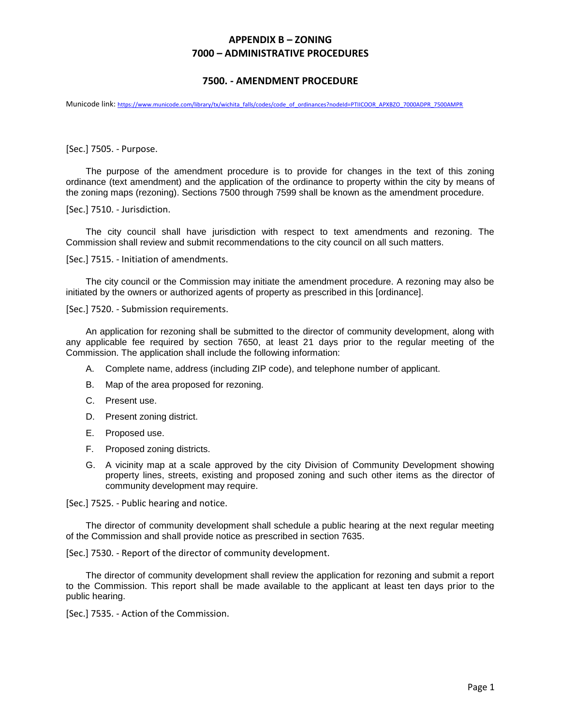## **APPENDIX B – ZONING 7000 – ADMINISTRATIVE PROCEDURES**

## **7500. - AMENDMENT PROCEDURE**

Municode link: [https://www.municode.com/library/tx/wichita\\_falls/codes/code\\_of\\_ordinances?nodeId=PTIICOOR\\_APXBZO\\_7000ADPR\\_7500AMPR](https://www.municode.com/library/tx/wichita_falls/codes/code_of_ordinances?nodeId=PTIICOOR_APXBZO_7000ADPR_7500AMPR)

[Sec.] 7505. - Purpose.

The purpose of the amendment procedure is to provide for changes in the text of this zoning ordinance (text amendment) and the application of the ordinance to property within the city by means of the zoning maps (rezoning). Sections 7500 through 7599 shall be known as the amendment procedure.

[Sec.] 7510. - Jurisdiction.

The city council shall have jurisdiction with respect to text amendments and rezoning. The Commission shall review and submit recommendations to the city council on all such matters.

[Sec.] 7515. - Initiation of amendments.

The city council or the Commission may initiate the amendment procedure. A rezoning may also be initiated by the owners or authorized agents of property as prescribed in this [ordinance].

[Sec.] 7520. - Submission requirements.

An application for rezoning shall be submitted to the director of community development, along with any applicable fee required by section 7650, at least 21 days prior to the regular meeting of the Commission. The application shall include the following information:

- A. Complete name, address (including ZIP code), and telephone number of applicant.
- B. Map of the area proposed for rezoning.
- C. Present use.
- D. Present zoning district.
- E. Proposed use.
- F. Proposed zoning districts.
- G. A vicinity map at a scale approved by the city Division of Community Development showing property lines, streets, existing and proposed zoning and such other items as the director of community development may require.

[Sec.] 7525. - Public hearing and notice.

The director of community development shall schedule a public hearing at the next regular meeting of the Commission and shall provide notice as prescribed in section 7635.

[Sec.] 7530. - Report of the director of community development.

The director of community development shall review the application for rezoning and submit a report to the Commission. This report shall be made available to the applicant at least ten days prior to the public hearing.

[Sec.] 7535. - Action of the Commission.